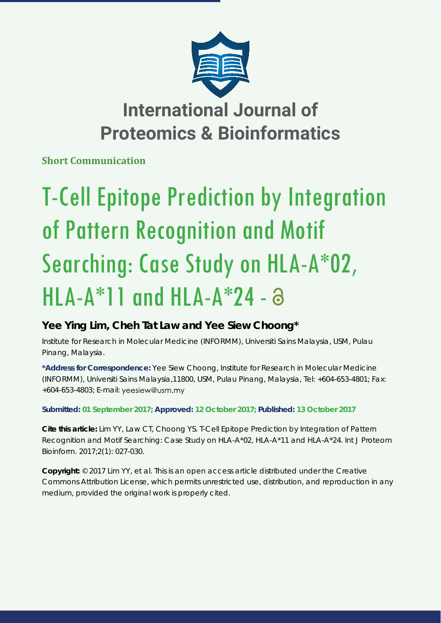

## **International Journal of Proteomics & Bioinformatics**

**Short Communication**

# T-Cell Epitope Prediction by Integration of Pattern Recognition and Motif Searching: Case Study on HLA-A\*02,  $HLA-A*11$  and  $HLA-A*24 - 3$

### **Yee Ying Lim, Cheh Tat Law and Yee Siew Choong\***

*Institute for Research in Molecular Medicine (INFORMM), Universiti Sains Malaysia, USM, Pulau Pinang, Malaysia.*

**\*Address for Correspondence:** Yee Siew Choong, Institute for Research in Molecular Medicine (INFORMM), Universiti Sains Malaysia,11800, USM, Pulau Pinang, Malaysia, Tel: +604-653-4801; Fax: +604-653-4803; E-mail:

**Submitted: 01 September 2017; Approved: 12 October 2017; Published: 13 October 2017**

**Cite this article:** Lim YY, Law CT, Choong YS. T-Cell Epitope Prediction by Integration of Pattern Recognition and Motif Searching: Case Study on HLA-A\*02, HLA-A\*11 and HLA-A\*24. Int J Proteom Bioinform. 2017;2(1): 027-030.

**Copyright:** © 2017 Lim YY, et al. This is an open access article distributed under the Creative Commons Attribution License, which permits unrestricted use, distribution, and reproduction in any medium, provided the original work is properly cited.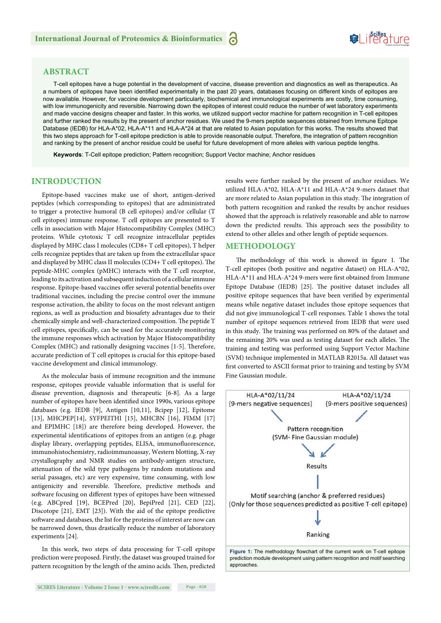#### **ABSTRACT**

T-cell epitopes have a huge potential in the development of vaccine, disease prevention and diagnostics as well as therapeutics. As a numbers of epitopes have been identified experimentally in the past 20 years, databases focusing on different kinds of epitopes are now available. However, for vaccine development particularly, biochemical and immunological experiments are costly, time consuming, with low immunogenicity and reversible. Narrowing down the epitopes of interest could reduce the number of wet laboratory experiments and made vaccine designs cheaper and faster. In this works, we utilized support vector machine for pattern recognition in T-cell epitopes and further ranked the results by the present of anchor residues. We used the 9-mers peptide sequences obtained from Immune Epitope Database (IEDB) for HLA-A\*02, HLA-A\*11 and HLA-A\*24 at that are related to Asian population for this works. The results showed that this two steps approach for T-cell epitope prediction is able to provide reasonable output. Therefore, the integration of pattern recognition and ranking by the present of anchor residue could be useful for future development of more alleles with various peptide lengths.

**Keywords**: T-Cell epitope prediction; Pattern recognition; Support Vector machine; Anchor residues

#### **INTRODUCTION**

Epitope-based vaccines make use of short, antigen-derived peptides (which corresponding to epitopes) that are administrated to trigger a protective humoral (B cell epitopes) and/or cellular (T cell epitopes) immune response. T cell epitopes are presented to T cells in association with Major Histocompatibility Complex (MHC) proteins. While cytotoxic T cell recognize intracellular peptides displayed by MHC class I molecules (CD8+ T cell epitopes), T helper cells recognize peptides that are taken up from the extracellular space and displayed by MHC class II molecules (CD4+ T cell epitopes). The peptide-MHC complex (pMHC) interacts with the T cell receptor, leading to its activation and subsequent induction of a cellular immune response. Epitope-based vaccines offer several potential benefits over traditional vaccines, including the precise control over the immune response activation, the ability to focus on the most relevant antigen regions, as well as production and biosafety advantages due to their chemically simple and well-characterized composition. The peptide T cell epitopes, specifically, can be used for the accurately monitoring the immune responses which activation by Major Histocompatibility Complex (MHC) and rationally designing vaccines [1-5]. Therefore, accurate prediction of T cell epitopes is crucial for this epitope-based vaccine development and clinical immunology.

As the molecular basis of immune recognition and the immune response, epitopes provide valuable information that is useful for disease prevention, diagnosis and therapeutic [6-8]. As a large number of epitopes have been identified since 1990s, various epitope databases (e.g. IEDB [9], Antigen [10,11], Bcipep [12], Epitome [13], MHCPEP[14], SYFPEITHI [15], MHCBN [16], FIMM [17] and EPIMHC [18]) are therefore being developed. However, the experimental identifications of epitopes from an antigen (e.g. phage display library, overlapping peptides, ELISA, immunofluorescence, immunohistochemistry, radioimmunoassay, Western blotting, X-ray crystallography and NMR studies on antibody-antigen structure, attenuation of the wild type pathogens by random mutations and serial passages, etc) are very expensive, time consuming, with low antigenicity and reversible. Therefore, predictive methods and software focusing on different types of epitopes have been witnessed (e.g. ABCpred [19], BCEPred [20], BepiPred [21], CED [22], Discotope [21], EMT [23]). With the aid of the epitope predictive software and databases, the list for the proteins of interest are now can be narrowed down, thus drastically reduce the number of laboratory experiments [24].

In this work, two steps of data processing for T-cell epitope prediction were proposed. Firstly, the dataset was grouped trained for pattern recognition by the length of the amino acids. Then, predicted

results were further ranked by the present of anchor residues. We utilized HLA-A\*02, HLA-A\*11 and HLA-A\*24 9-mers dataset that are more related to Asian population in this study. The integration of both pattern recognition and ranked the results by anchor residues showed that the approach is relatively reasonable and able to narrow down the predicted results. This approach sees the possibility to extend to other alleles and other length of peptide sequences.

Suifes ture

#### **METHODOLOGY**

The methodology of this work is showed in figure 1. The T-cell epitopes (both positive and negative dataset) on HLA-A\*02, HLA-A\*11 and HLA-A\*24 9-mers were first obtained from Immune Epitope Database (IEDB) [25]. The positive dataset includes all positive epitope sequences that have been verified by experimental means while negative dataset includes those epitope sequences that did not give immunological T-cell responses. Table 1 shows the total number of epitope sequences retrieved from IEDB that were used in this study. The training was performed on 80% of the dataset and the remaining 20% was used as testing dataset for each alleles. The training and testing was performed using Support Vector Machine (SVM) technique implemented in MATLAB R2015a. All dataset was first converted to ASCII format prior to training and testing by SVM Fine Gaussian module.

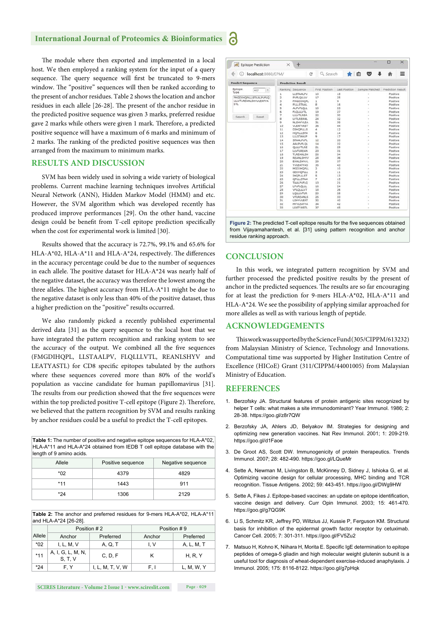#### **International Journal of Proteomics & Bioinformatics**

The module where then exported and implemented in a local host. We then employed a ranking system for the input of a query sequence. The query sequence will first be truncated to 9-mers window. The "positive" sequences will then be ranked according to the present of anchor residues. Table 2 shows the location and anchor residues in each allele [26-28]. The present of the anchor residue in the predicted positive sequence was given 3 marks, preferred residue gave 2 marks while others were given 1 mark. Therefore, a predicted positive sequence will have a maximum of 6 marks and minimum of 2 marks. The ranking of the predicted positive sequences was then arranged from the maximum to minimum marks.

#### **RESULTS AND DISCUSSION**

SVM has been widely used in solving a wide variety of biological problems. Current machine learning techniques involves Artificial Neural Network (ANN), Hidden Markov Model (HMM) and etc. However, the SVM algorithm which was developed recently has produced improve performances [29]. On the other hand, vaccine design could be benefit from T-cell epitope prediction specifically when the cost for experimental work is limited [30].

Results showed that the accuracy is 72.7%, 99.1% and 65.6% for HLA-A\*02, HLA-A\*11 and HLA-A\*24, respectively. The differences in the accuracy percentage could be due to the number of sequences in each allele. The positive dataset for HLA-A\*24 was nearly half of the negative dataset, the accuracy was therefore the lowest among the three alleles. The highest accuracy from HLA-A\*11 might be due to the negative dataset is only less than 40% of the positive dataset, thus a higher prediction on the "positive" results occurred.

We also randomly picked a recently published experimental derived data [31] as the query sequence to the local host that we have integrated the pattern recognition and ranking system to see the accuracy of the output. We combined all the five sequences (FMGDIHQPL, LLSTAALPV, FLQLLLVTL, REANLSHYV and LEATYASTL) for CD8 specific epitopes tabulated by the authors where these sequences covered more than 80% of the world's population as vaccine candidate for human papillomavirus [31]. The results from our prediction showed that the five sequences were within the top predicted positive T-cell epitope (Figure 2). Therefore, we believed that the pattern recognition by SVM and results ranking by anchor residues could be a useful to predict the T-cell epitopes.

| length of 9 amino acids. |                   | <b>Table 1:</b> The number of positive and negative epitope sequences for HLA-A*02,<br>HLA-A <sup>*</sup> 11 and HLA-A <sup>*</sup> 24 obtained from IEDB T cell epitope database with the |  |  |
|--------------------------|-------------------|--------------------------------------------------------------------------------------------------------------------------------------------------------------------------------------------|--|--|
| Allele                   | Positive sequence | Negative sequence                                                                                                                                                                          |  |  |
| *02                      | 4379              | 4829                                                                                                                                                                                       |  |  |
| $*11$                    | 1443              | 911                                                                                                                                                                                        |  |  |
|                          |                   |                                                                                                                                                                                            |  |  |

**Table 2:** The anchor and preferred residues for 9-mers HLA-A\*02, HLA-A\*11 and HLA-A\*24 [26-28].

\*24 1306 2129

|        | Position #2                  |                  | Position #9 |            |  |
|--------|------------------------------|------------------|-------------|------------|--|
| Allele | Anchor                       | Preferred        | Anchor      | Preferred  |  |
| $*02$  | I, L, M, V                   | A, Q, T          | I. V        | A, L, M, T |  |
| $*11$  | A, I, G, L, M, N,<br>S, T, V | C, D, F          |             | H, R, Y    |  |
| $*24$  | F.Y                          | I, L, M, T, V, W | F. I        | L, M, W, Y |  |



| localhost:8080/EPM/<br>⊙<br>$\leftarrow$                            |                         | C                                    | Q Search                | ★自                                             | ◛ |                      | ≡ |
|---------------------------------------------------------------------|-------------------------|--------------------------------------|-------------------------|------------------------------------------------|---|----------------------|---|
| <b>Predict Sequence</b>                                             |                         | <b>Prediction Result</b>             |                         |                                                |   |                      |   |
| Epitope<br>A02<br>Type                                              |                         | Ranking Sequence                     | First Position          | Last Position Sample Matched Prediction Result |   |                      |   |
| <b>FMGDIHQPLLLSTAALPVFLQ</b><br>LLLVTLREANLSHYVLEATYA<br><b>STL</b> | 1                       | <b>LLSTAALPV</b>                     | 10                      | 18                                             |   | Positive             |   |
|                                                                     | $\overline{\mathbf{z}}$ | PVFLOLLLV                            | 17                      | 25                                             |   | Positive             |   |
|                                                                     | 3                       | FMGDIHQPL                            | 1                       | 9                                              |   | Positive             |   |
|                                                                     | 4                       | PLLLSTAAL                            | B)                      | 16                                             |   | Positive             |   |
|                                                                     | 5                       | ALPVFLOLL                            | 15                      | 23                                             |   | Positive             |   |
|                                                                     | 6                       | <b>FLOLLLVTL</b>                     | 19                      | 27                                             |   | Positive             |   |
| Search<br>Reset                                                     | 7                       | <b>LLLVTLREA</b>                     | 22                      | 30                                             |   | Positive             |   |
|                                                                     | ã                       | <b>LVTLREANL</b>                     | 24                      | 32                                             |   | Positive             |   |
|                                                                     | 9                       | NLSHYVLEA                            | 31                      | 39                                             |   | Positive             |   |
|                                                                     | 10                      | VLEATYAST                            | 36                      | 44                                             |   | Positive             |   |
|                                                                     | 11                      | <b>DIHOPLLLS</b>                     | 4                       | 12                                             |   | Positive             |   |
|                                                                     | 12                      | <b>HOPLLLSTA</b>                     | 6<br>9                  | 14                                             |   | Positive             |   |
|                                                                     | 13                      | <b>LLLSTAALP</b>                     |                         | 17                                             |   | Positive             |   |
|                                                                     | 14<br>15                | <b>STAALPVFL</b><br><b>AALPVFLOL</b> | 12<br>14                | 20<br>22                                       |   | Positive<br>Positive |   |
|                                                                     | 16                      | <b>OLLLVTLRE</b>                     | 21                      | 29                                             |   | Positive             |   |
|                                                                     | 17                      | LLVTLREAN                            | 23                      | 31                                             |   | Positive             |   |
|                                                                     | 18                      | TLREANLSH                            | 26                      | 34                                             |   | Positive             |   |
|                                                                     | 19                      | REANLSHYV                            | 28                      | 36                                             |   | Positive             |   |
|                                                                     | 20                      | EANLSHYVL                            | 29                      | 37                                             |   | Positive             |   |
|                                                                     | 21                      | <b>YVLEATYAS</b>                     | 35                      | 43                                             |   | Positive             |   |
|                                                                     | 22                      | MGDIHQPLL                            | $\overline{\mathbf{z}}$ | 10                                             |   | Positive             |   |
|                                                                     | 23                      | GDIHOPLLL                            | 3                       | 11                                             |   | Positive             |   |
|                                                                     | 24                      | <b>IHQPLLLST</b>                     | 5                       | 13                                             |   | Positive             |   |
|                                                                     | 25                      | <b>OPLLLSTAA</b>                     | 7                       | 15                                             |   | Positive             |   |
|                                                                     | 26                      | <b>TAALPVFLQ</b>                     | 13                      | 21                                             |   | Positive             |   |
|                                                                     | 27                      | LPVFLQLLL                            | 16                      | 24                                             |   | Positive             |   |
|                                                                     | 28                      | VFLQLLLVT                            | 18                      | 26                                             |   | Positive             |   |
|                                                                     | 29                      | <b>LQLLLVTLR</b>                     | 20                      | 28                                             |   | Positive             |   |
|                                                                     | 30                      | VTLREANLS                            | 25                      | 33                                             |   | Positive             |   |
|                                                                     | 31                      | LSHYVLEAT                            | 32                      | 40                                             |   | Positive             |   |
|                                                                     | 32                      | <b>HYVLEATYA</b>                     | 34                      | 42                                             |   | Positive             |   |
|                                                                     | 33                      | LEATYASTL                            | 37                      | 45                                             |   | Positive             |   |

#### **CONCLUSION**

residue ranking approach.

In this work, we integrated pattern recognition by SVM and further processed the predicted positive results by the present of anchor in the predicted sequences. The results are so far encouraging for at least the prediction for 9-mers HLA-A\*02, HLA-A\*11 and HLA-A\*24. We see the possibility of applying similar approached for more alleles as well as with various length of peptide.

#### **ACKNOWLEDGEMENTS**

This work was supported by the Science Fund (305/CIPPM/613232) from Malaysian Ministry of Science, Technology and Innovations. Computational time was supported by Higher Institution Centre of Excellence (HICoE) Grant (311/CIPPM/44001005) from Malaysian Ministry of Education.

#### **REFERENCES**

- 1. Berzofsky JA. Structural features of protein antigenic sites recognized by helper T cells: what makes a site immunodominant? Year Immunol. 1986; 2: 28-38. https://goo.gl/z8r7QW
- 2. Berzofsky JA, Ahlers JD, Belyakov IM. Strategies for designing and optimizing new generation vaccines. Nat Rev Immunol. 2001; 1: 209-219. https://goo.gl/d1Faoe
- 3. De Groot AS, Scott DW. Immunogenicity of protein therapeutics. Trends Immunol. 2007; 28: 482-490. https://goo.gl/LQueMr
- 4. Sette A, Newman M, Livingston B, McKinney D, Sidney J, Ishioka G, et al. Optimizing vaccine design for cellular processing, MHC binding and TCR recognition. Tissue Antigens. 2002; 59: 443-451. https://goo.gl/DWg9HW
- 5. Sette A, Fikes J. Epitope-based vaccines: an update on epitope identification, vaccine design and delivery. Curr Opin Immunol. 2003; 15: 461-470. https://goo.gl/g7QG9K
- 6. Li S, Schmitz KR, Jeffrey PD, Wiltzius JJ, Kussie P, Ferguson KM. Structural basis for inhibition of the epidermal growth factor receptor by cetuximab. Cancer Cell. 2005; 7: 301-311. https://goo.gl/FV5Zu2
- 7. Matsuo H, Kohno K, Niihara H, Morita E. Specific IgE determination to epitope peptides of omega-5 gliadin and high molecular weight glutenin subunit is a useful tool for diagnosis of wheat-dependent exercise-induced anaphylaxis. J Immunol. 2005; 175: 8116-8122. https://goo.gl/g7pHqk